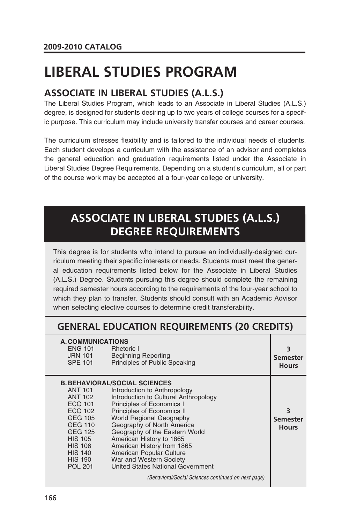# **LIBERAL STUDIES PROGRAM**

### **ASSOCIATE IN LIBERAL STUDIES (A.L.S.)**

The Liberal Studies Program, which leads to an Associate in Liberal Studies (A.L.S.) degree, is designed for students desiring up to two years of college courses for a specific purpose. This curriculum may include university transfer courses and career courses.

The curriculum stresses flexibility and is tailored to the individual needs of students. Each student develops a curriculum with the assistance of an advisor and completes the general education and graduation requirements listed under the Associate in Liberal Studies Degree Requirements. Depending on a student's curriculum, all or part of the course work may be accepted at a four-year college or university.

## **ASSOCIATE IN LIBERAL STUDIES (A.L.S.) DEGREE REQUIREMENTS**

This degree is for students who intend to pursue an individually-designed curriculum meeting their specific interests or needs. Students must meet the general education requirements listed below for the Associate in Liberal Studies (A.L.S.) Degree. Students pursuing this degree should complete the remaining required semester hours according to the requirements of the four-year school to which they plan to transfer. Students should consult with an Academic Advisor when selecting elective courses to determine credit transferability.

### **GENERAL EDUCATION REQUIREMENTS (20 CREDITS)**

| A. COMMUNICATIONS<br><b>ENG 101</b><br>JRN 101<br><b>SPE 101</b>                                                                                                           | <b>Rhetoric I</b><br><b>Beginning Reporting</b><br>Principles of Public Speaking                                                                                                                                                                                                                                                                                                                                                                                                         | 3<br><b>Semester</b><br><b>Hours</b> |
|----------------------------------------------------------------------------------------------------------------------------------------------------------------------------|------------------------------------------------------------------------------------------------------------------------------------------------------------------------------------------------------------------------------------------------------------------------------------------------------------------------------------------------------------------------------------------------------------------------------------------------------------------------------------------|--------------------------------------|
| ANT 101<br><b>ANT 102</b><br>ECO 101<br>ECO 102<br>GEG 105<br>GEG 110<br><b>GEG 125</b><br><b>HIS 105</b><br><b>HIS 106</b><br><b>HIS 140</b><br>HIS 190<br><b>POL 201</b> | <b>B. BEHAVIORAL/SOCIAL SCIENCES</b><br>Introduction to Anthropology<br>Introduction to Cultural Anthropology<br>Principles of Economics I<br>Principles of Economics II<br><b>World Regional Geography</b><br>Geography of North America<br>Geography of the Eastern World<br>American History to 1865<br>American History from 1865<br>American Popular Culture<br>War and Western Society<br>United States National Government<br>(Behavioral/Social Sciences continued on next page) | 3<br><b>Semester</b><br><b>Hours</b> |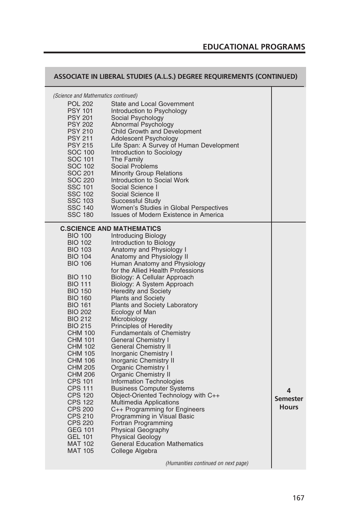#### **EDUCATIONAL PROGRAMS**

|                                                                                                                                                                                                                                                                                                                                                                                                                                                                                                                                                                     | ASSOCIATE IN LIBERAL STUDIES (A.L.S.) DEGREE REQUIREMENTS (CONTINUED)                                                                                                                                                                                                                                                                                                                                                                                                                                                                                                                                                                                                                                                                                                                                                                                                                                                                                                                                                                                                   |                                      |
|---------------------------------------------------------------------------------------------------------------------------------------------------------------------------------------------------------------------------------------------------------------------------------------------------------------------------------------------------------------------------------------------------------------------------------------------------------------------------------------------------------------------------------------------------------------------|-------------------------------------------------------------------------------------------------------------------------------------------------------------------------------------------------------------------------------------------------------------------------------------------------------------------------------------------------------------------------------------------------------------------------------------------------------------------------------------------------------------------------------------------------------------------------------------------------------------------------------------------------------------------------------------------------------------------------------------------------------------------------------------------------------------------------------------------------------------------------------------------------------------------------------------------------------------------------------------------------------------------------------------------------------------------------|--------------------------------------|
| <i>(Science and Mathematics continued)</i><br><b>POL 202</b><br><b>PSY 101</b><br><b>PSY 201</b><br><b>PSY 202</b><br><b>PSY 210</b><br><b>PSY 211</b><br><b>PSY 215</b><br>SOC 100<br>SOC 101<br><b>SOC 102</b><br>SOC 201<br><b>SOC 220</b><br><b>SSC 101</b><br><b>SSC 102</b><br><b>SSC 103</b><br><b>SSC 140</b><br><b>SSC 180</b>                                                                                                                                                                                                                             | <b>State and Local Government</b><br>Introduction to Psychology<br>Social Psychology<br>Abnormal Psychology<br>Child Growth and Development<br>Adolescent Psychology<br>Life Span: A Survey of Human Development<br>Introduction to Sociology<br>The Family<br><b>Social Problems</b><br><b>Minority Group Relations</b><br>Introduction to Social Work<br>Social Science I<br>Social Science II<br>Successful Study<br>Women's Studies in Global Perspectives<br>Issues of Modern Existence in America                                                                                                                                                                                                                                                                                                                                                                                                                                                                                                                                                                 |                                      |
| <b>BIO 100</b><br><b>BIO 102</b><br><b>BIO 103</b><br><b>BIO 104</b><br><b>BIO 106</b><br><b>BIO 110</b><br><b>BIO 111</b><br><b>BIO 150</b><br><b>BIO 160</b><br><b>BIO 161</b><br><b>BIO 202</b><br><b>BIO 212</b><br><b>BIO 215</b><br><b>CHM 100</b><br><b>CHM 101</b><br><b>CHM 102</b><br><b>CHM 105</b><br><b>CHM 106</b><br>CHM 205<br><b>CHM 206</b><br><b>CPS 101</b><br><b>CPS 111</b><br><b>CPS 120</b><br><b>CPS 122</b><br><b>CPS 200</b><br><b>CPS 210</b><br><b>CPS 220</b><br><b>GEG 101</b><br><b>GEL 101</b><br><b>MAT 102</b><br><b>MAT 105</b> | <b>C.SCIENCE AND MATHEMATICS</b><br>Introducing Biology<br>Introduction to Biology<br>Anatomy and Physiology I<br>Anatomy and Physiology II<br>Human Anatomy and Physiology<br>for the Allied Health Professions<br>Biology: A Cellular Approach<br>Biology: A System Approach<br><b>Heredity and Society</b><br><b>Plants and Society</b><br><b>Plants and Society Laboratory</b><br>Ecology of Man<br>Microbiology<br>Principles of Heredity<br><b>Fundamentals of Chemistry</b><br><b>General Chemistry I</b><br><b>General Chemistry II</b><br><b>Inorganic Chemistry I</b><br><b>Inorganic Chemistry II</b><br>Organic Chemistry I<br><b>Organic Chemistry II</b><br><b>Information Technologies</b><br><b>Business Computer Systems</b><br>Object-Oriented Technology with C++<br><b>Multimedia Applications</b><br>C++ Programming for Engineers<br>Programming in Visual Basic<br>Fortran Programming<br><b>Physical Geography</b><br><b>Physical Geology</b><br><b>General Education Mathematics</b><br>College Algebra<br>(Humanities continued on next page) | 4<br><b>Semester</b><br><b>Hours</b> |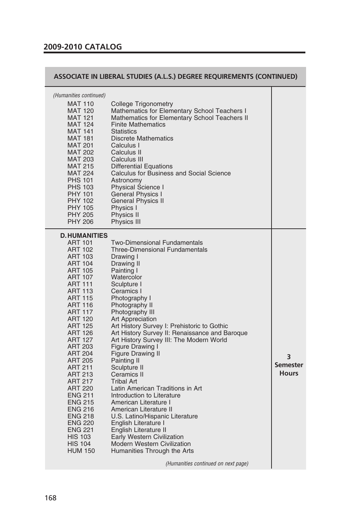#### **2009-2010 CATALOG**

#### **ASSOCIATE IN LIBERAL STUDIES (A.L.S.) DEGREE REQUIREMENTS (CONTINUED)**

| (Humanities continued)<br><b>MAT 110</b><br><b>MAT 120</b><br><b>MAT 121</b><br><b>MAT 124</b><br><b>MAT 141</b><br><b>MAT 181</b><br><b>MAT 201</b><br><b>MAT 202</b><br><b>MAT 203</b><br><b>MAT 215</b><br><b>MAT 224</b><br><b>PHS 101</b><br><b>PHS 103</b><br><b>PHY 101</b><br><b>PHY 102</b><br><b>PHY 105</b><br><b>PHY 205</b><br><b>PHY 206</b>                                                                                                                                                                                                                          | College Trigonometry<br>Mathematics for Elementary School Teachers I<br>Mathematics for Elementary School Teachers II<br><b>Finite Mathematics</b><br><b>Statistics</b><br><b>Discrete Mathematics</b><br>Calculus I<br>Calculus II<br>Calculus III<br><b>Differential Equations</b><br><b>Calculus for Business and Social Science</b><br>Astronomy<br><b>Physical Science I</b><br>General Physics I<br><b>General Physics II</b><br>Physics I<br>Physics II<br><b>Physics III</b>                                                                                                                                                                                                                                                                                                                                                                                 |                                      |
|-------------------------------------------------------------------------------------------------------------------------------------------------------------------------------------------------------------------------------------------------------------------------------------------------------------------------------------------------------------------------------------------------------------------------------------------------------------------------------------------------------------------------------------------------------------------------------------|----------------------------------------------------------------------------------------------------------------------------------------------------------------------------------------------------------------------------------------------------------------------------------------------------------------------------------------------------------------------------------------------------------------------------------------------------------------------------------------------------------------------------------------------------------------------------------------------------------------------------------------------------------------------------------------------------------------------------------------------------------------------------------------------------------------------------------------------------------------------|--------------------------------------|
| <b>D.HUMANITIES</b><br><b>ART 101</b><br><b>ART 102</b><br><b>ART 103</b><br><b>ART 104</b><br><b>ART 105</b><br><b>ART 107</b><br><b>ART 111</b><br><b>ART 113</b><br><b>ART 115</b><br><b>ART 116</b><br><b>ART 117</b><br><b>ART 120</b><br><b>ART 125</b><br><b>ART 126</b><br><b>ART 127</b><br><b>ART 203</b><br><b>ART 204</b><br><b>ART 205</b><br><b>ART 211</b><br><b>ART 213</b><br><b>ART 217</b><br><b>ART 220</b><br><b>ENG 211</b><br><b>ENG 215</b><br><b>ENG 216</b><br><b>ENG 218</b><br>ENG 220<br><b>ENG 221</b><br><b>HIS 103</b><br><b>HIS 104</b><br>HUM 150 | <b>Two-Dimensional Fundamentals</b><br><b>Three-Dimensional Fundamentals</b><br>Drawing I<br>Drawing II<br>Painting I<br>Watercolor<br>Sculpture I<br>Ceramics I<br>Photography I<br>Photography II<br>Photography III<br>Art Appreciation<br>Art History Survey I: Prehistoric to Gothic<br>Art History Survey II: Renaissance and Baroque<br>Art History Survey III: The Modern World<br>Figure Drawing I<br><b>Figure Drawing II</b><br>Painting II<br>Sculpture II<br>Ceramics II<br><b>Tribal Art</b><br>Latin American Traditions in Art<br>Introduction to Literature<br>American Literature I<br>American Literature II<br>U.S. Latino/Hispanic Literature<br>English Literature I<br>English Literature II<br><b>Early Western Civilization</b><br><b>Modern Western Civilization</b><br>Humanities Through the Arts<br>(Humanities continued on next page) | 3<br><b>Semester</b><br><b>Hours</b> |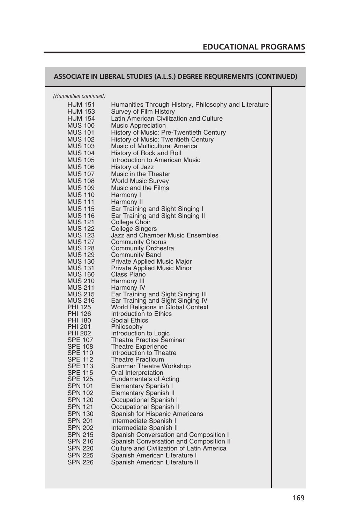#### **ASSOCIATE IN LIBERAL STUDIES (A.L.S.) DEGREE REQUIREMENTS (CONTINUED)**

HUM 151 Humanities Through History, Philosophy and Literature HUM 153 Survey of Film History<br>HUM 154 Latin American Civiliza Latin American Civilization and Culture MUS 100 Music Appreciation<br>MUS 101 History of Music: Pr MUS 101 History of Music: Pre-Twentieth Century<br>MUS 102 History of Music: Twentieth Century MUS 102 History of Music: Twentieth Century<br>MUS 103 Music of Multicultural America Music of Multicultural America MUS 104 History of Rock and Roll<br>MUS 105 Introduction to American Introduction to American Music MUS 106 History of Jazz<br>MUS 107 Music in the Th Music in the Theater MUS 108 World Music Survey MUS 109 Music and the Films MUS 110 Harmony I MUS 111 Harmony II MUS 115 Ear Training and Sight Singing I MUS 116 Ear Training and Sight Singing II<br>MUS 121 College Choir MUS 121 College Choir<br>MUS 122 College Singe MUS 122 College Singers<br>MUS 123 Jazz and Chaml MUS 123 Jazz and Chamber Music Ensembles<br>MUS 127 Community Chorus MUS 127 Community Chorus<br>MUS 128 Community Orches MUS 128 Community Orchestra<br>MUS 129 Community Band MUS 129 Community Band<br>MUS 130 Private Applied M<br>MUS 131 Private Applied M Private Applied Music Major MUS 131 Private Applied Music Minor MUS 160 Class Piano<br>MUS 210 Harmony III MUS 210 Harmony III<br>MUS 211 Harmony IV MUS 211 Harmony IV<br>MUS 215 Ear Training MUS 215 Ear Training and Sight Singing III<br>MUS 216 Ear Training and Sight Singing IV MUS 216 Ear Training and Sight Singing IV PHI 125 World Religions in Global Context<br>PHI 126 Introduction to Ethics PHI 126 Introduction to Ethics<br>PHI 180 Social Ethics PHI 180 Social Ethics<br>PHI 201 Philosophy PHI 201 Philosophy<br>PHI 202 Introduction PHI 202 Introduction to Logic<br>SPE 107 Theatre Practice Ser SPE 107 Theatre Practice Seminar<br>SPE 108 Theatre Experience SPE 108 Theatre Experience<br>SPE 110 Introduction to Thea SPE 110 Introduction to Theatre<br>SPE 112 Theatre Practicum<br>SPE 113 Summer Theatre Work Theatre Practicum SPE 113 Summer Theatre Workshop<br>SPE 115 Oral Interpretation SPE 115 Oral Interpretation<br>SPE 125 Fundamentals of A SPE 125 Fundamentals of Acting<br>SPN 101 Elementary Spanish I SPN 101 Elementary Spanish I<br>SPN 102 Elementary Spanish I SPN 102 Elementary Spanish II<br>SPN 120 Occupational Spanish SPN 120 Occupational Spanish I<br>SPN 121 Occupational Spanish I SPN 121 Occupational Spanish II<br>SPN 130 Spanish for Hispanic An SPN 130 Spanish for Hispanic Americans<br>SPN 201 Intermediate Spanish I SPN 201 Intermediate Spanish I<br>SPN 202 Intermediate Spanish I SPN 202 Intermediate Spanish II<br>SPN 215 Spanish Conversation a SPN 215 Spanish Conversation and Composition I<br>SPN 216 Spanish Conversation and Composition I SPN 216 Spanish Conversation and Composition II<br>SPN 220 Culture and Civilization of Latin America Culture and Civilization of Latin America SPN 225 Spanish American Literature I<br>SPN 226 Spanish American Literature II Spanish American Literature II *(Humanities continued)*